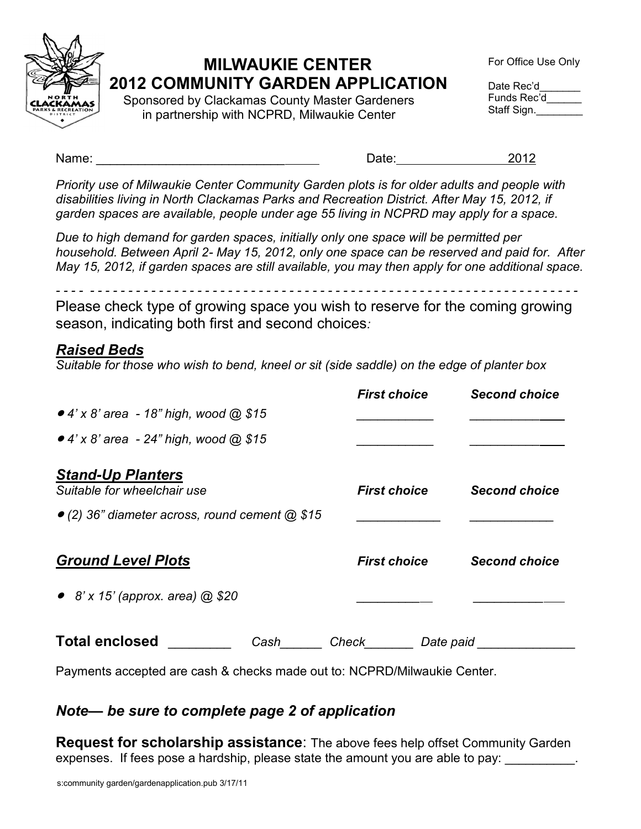

# **MILWAUKIE CENTER 2012 COMMUNITY GARDEN APPLICATION**

Sponsored by Clackamas County Master Gardeners in partnership with NCPRD, Milwaukie Center

| For Office Use Only |  |
|---------------------|--|
|                     |  |

| Date Rec'd  |  |
|-------------|--|
| Funds Rec'd |  |
| Staff Sign. |  |

Name: 2012

*Priority use of Milwaukie Center Community Garden plots is for older adults and people with disabilities living in North Clackamas Parks and Recreation District. After May 15, 2012, if garden spaces are available, people under age 55 living in NCPRD may apply for a space.*

*Due to high demand for garden spaces, initially only one space will be permitted per household. Between April 2- May 15, 2012, only one space can be reserved and paid for. After May 15, 2012, if garden spaces are still available, you may then apply for one additional space.* 

*- - - - - - - - - - - - - - - - - - - - - - - - - - - - - - - - - - - - - - - - - - - - - - - - - - - - - - - - - - - - - - - - - - - -*

Please check type of growing space you wish to reserve for the coming growing season, indicating both first and second choices*:* 

## *Raised Beds*

*Suitable for those who wish to bend, kneel or sit (side saddle) on the edge of planter box*

|                                                                                                                          | <b>First choice</b> | <b>Second choice</b> |
|--------------------------------------------------------------------------------------------------------------------------|---------------------|----------------------|
| $\bullet$ 4' x 8' area - 18" high, wood @ \$15                                                                           |                     |                      |
| $\bullet$ 4' x 8' area - 24" high, wood @ \$15                                                                           |                     |                      |
| <b>Stand-Up Planters</b><br>Suitable for wheelchair use<br>$\bullet$ (2) 36" diameter across, round cement $\omega$ \$15 | <b>First choice</b> | <b>Second choice</b> |
| <b>Ground Level Plots</b>                                                                                                | <b>First choice</b> | <b>Second choice</b> |
| • $8' \times 15'$ (approx. area) $\omega$ \$20                                                                           |                     |                      |
| <b>Total enclosed</b><br>Check<br>Cash                                                                                   | Date paid           |                      |

Payments accepted are cash & checks made out to: NCPRD/Milwaukie Center.

# *Note— be sure to complete page 2 of application*

**Request for scholarship assistance**: The above fees help offset Community Garden expenses. If fees pose a hardship, please state the amount you are able to pay: